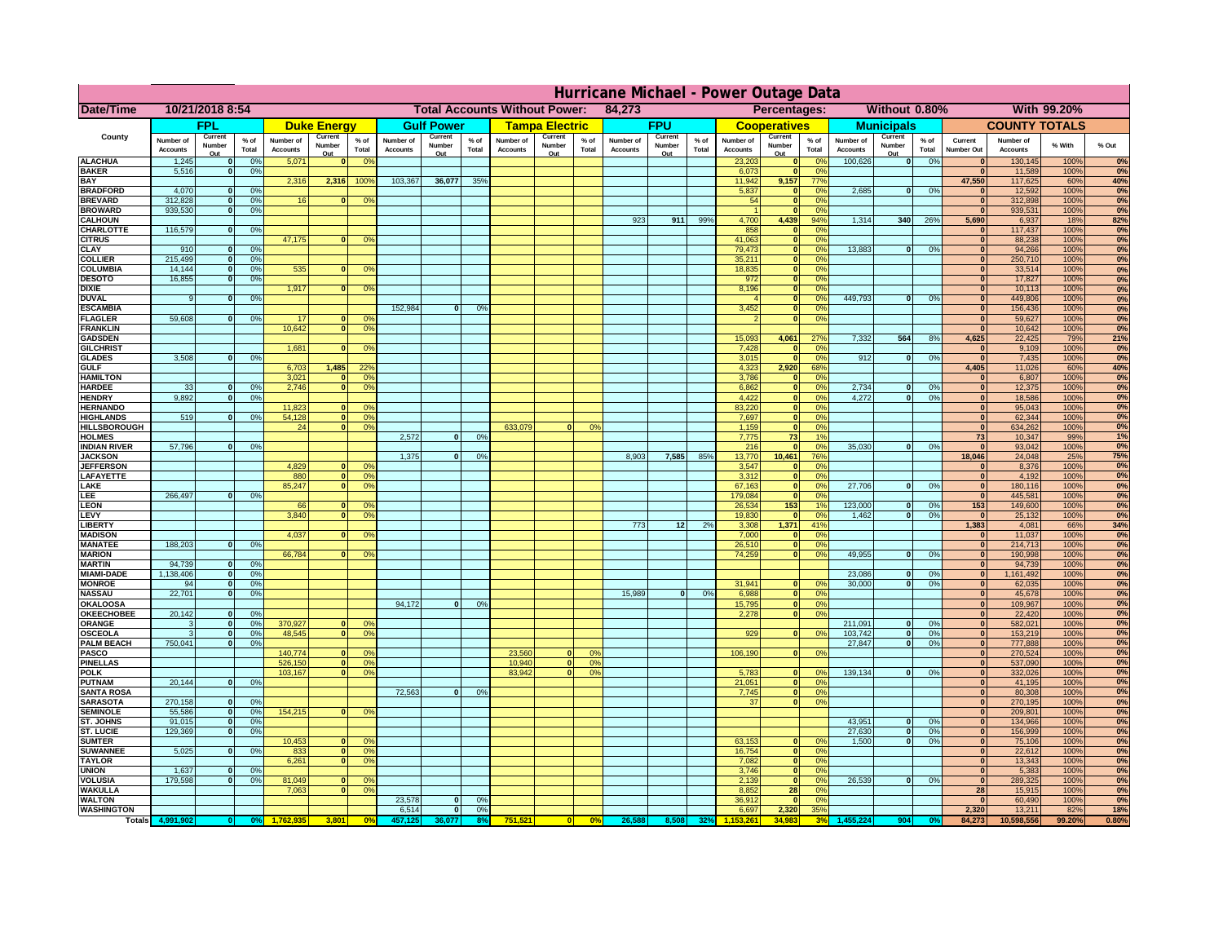|                                      | Hurricane Michael - Power Outage Data |                   |                                  |                              |                    |                                                         |                              |                              |                 |                              |                                              |                 |                       |                   |                 |                              |                             |                       |                              |                    |                 |                              |                              |              |           |
|--------------------------------------|---------------------------------------|-------------------|----------------------------------|------------------------------|--------------------|---------------------------------------------------------|------------------------------|------------------------------|-----------------|------------------------------|----------------------------------------------|-----------------|-----------------------|-------------------|-----------------|------------------------------|-----------------------------|-----------------------|------------------------------|--------------------|-----------------|------------------------------|------------------------------|--------------|-----------|
| <b>Date/Time</b>                     | 10/21/2018 8:54                       |                   |                                  |                              |                    | <b>Total Accounts Without Power:</b><br>84,273          |                              |                              |                 |                              | Without 0.80%<br>With 99.20%<br>Percentages: |                 |                       |                   |                 |                              |                             |                       |                              |                    |                 |                              |                              |              |           |
|                                      |                                       | <b>FPL</b>        |                                  |                              | <b>Duke Energy</b> |                                                         |                              | <b>Gulf Power</b>            |                 |                              | <b>Tampa Electric</b>                        |                 |                       | <b>FPU</b>        |                 |                              | <b>Cooperatives</b>         |                       |                              | <b>Municipals</b>  |                 |                              | <b>COUNTY TOTALS</b>         |              |           |
| County                               | Number of<br><b>Accounts</b>          | Current<br>Number | % of<br>Total                    | Number of<br><b>Accounts</b> | Current<br>Number  | $%$ of<br>Total                                         | Number of<br><b>Accounts</b> | Current<br>Number            | $%$ of<br>Total | Number of<br><b>Accounts</b> | Current<br>Number                            | $%$ of<br>Total | Number of<br>Accounts | Current<br>Number | $%$ of<br>Total | Number of<br><b>Accounts</b> | Current<br>Number           | $%$ of<br>Total       | Number of<br><b>Accounts</b> | Current<br>Number  | $%$ of<br>Total | Current<br><b>Number Out</b> | Number of<br><b>Accounts</b> | % With       | % Out     |
| <b>ALACHUA</b>                       | 1,245                                 | Out               | 0 <sup>9</sup>                   | 5,071                        | Out                | 0 <sup>9</sup><br>$\mathbf{0}$                          |                              | Out                          |                 |                              | Out                                          |                 |                       | Out               |                 | 23,203                       | Out<br>$\mathbf{0}$         | 0 <sup>9</sup>        | 100,626                      | Out<br> 0          | 0%              | $\bf{0}$                     | 130,145                      | 100%         | 0%        |
| <b>BAKER</b>                         | 5,516                                 |                   | 0%                               |                              |                    |                                                         |                              |                              |                 |                              |                                              |                 |                       |                   |                 | 6,073                        | ō                           | 0%                    |                              |                    |                 | $\bf{0}$                     | 11,589                       | 100%         | 0%        |
| <b>BAY</b><br><b>BRADFORD</b>        | 4,070                                 |                   | 0%                               | 2,316                        | 2,316              | 100%                                                    | 103,367                      | 36,077                       | 35%             |                              |                                              |                 |                       |                   |                 | 11,942<br>5,837              | 9,157<br>$\mathbf{0}$       | 77%<br>0%             | 2,685                        | 0                  | 0%              | 47,550<br>$\bf{0}$           | 117,625<br>12,592            | 60%<br>100%  | 40%<br>0% |
| <b>BREVARD</b>                       | 312,828                               |                   | 0 <sup>9</sup>                   | 16                           |                    | 0 <sup>9</sup><br>$\mathbf{0}$                          |                              |                              |                 |                              |                                              |                 |                       |                   |                 | 54                           | $\mathbf{0}$                | 0%                    |                              |                    |                 | $\mathbf{0}$                 | 312,898                      | 100%         | 0%        |
| <b>BROWARD</b>                       | 939.530                               |                   | 0 <sup>9</sup>                   |                              |                    |                                                         |                              |                              |                 |                              |                                              |                 |                       |                   |                 |                              | $\mathbf{0}$                | 0%                    |                              |                    |                 | $\bf{0}$                     | 939,531                      | 100%         | 0%        |
| <b>CALHOUN</b>                       |                                       |                   |                                  |                              |                    |                                                         |                              |                              |                 |                              |                                              |                 | 923                   | 911               | 99%             | 4,700                        | 4,439                       | 94%                   | 1,314                        | 340                | 26%             | 5,690                        | 6,937                        | 18%          | 82%       |
| CHARLOTTE<br><b>CITRUS</b>           | 116,579                               |                   | 0%                               | 47,175                       |                    | 0 <sup>9</sup><br>$\bf{0}$                              |                              |                              |                 |                              |                                              |                 |                       |                   |                 | 858<br>41,063                | $\mathbf{0}$<br>$\mathbf 0$ | 0%<br>0 <sup>9</sup>  |                              |                    |                 | $\bf{0}$<br>$\bf{0}$         | 117,437<br>88,238            | 100%<br>100% | 0%<br>0%  |
| <b>CLAY</b>                          | 910                                   |                   | 0 <sup>9</sup>                   |                              |                    |                                                         |                              |                              |                 |                              |                                              |                 |                       |                   |                 | 79,473                       | $\mathbf 0$                 | 0 <sup>9</sup>        | 13,883                       | 0                  | 0%              | $\bf{0}$                     | 94,266                       | 100%         | 0%        |
| <b>COLLIER</b>                       | 215,499                               |                   | 0 <sup>9</sup>                   |                              |                    |                                                         |                              |                              |                 |                              |                                              |                 |                       |                   |                 | 35,211                       | $\mathbf{0}$                | 0%                    |                              |                    |                 | $\bf{0}$                     | 250,710                      | 100%         | 0%        |
| <b>COLUMBIA</b>                      | 14,144<br>16,855                      |                   | 0 <sup>9</sup><br>0 <sup>9</sup> | 535                          |                    | 0 <sup>9</sup><br>$\bf{0}$                              |                              |                              |                 |                              |                                              |                 |                       |                   |                 | 18,835<br>972                | ō<br>ō                      | 0%<br>0%              |                              |                    |                 | $\bf{0}$<br>$\bf{0}$         | 33,514<br>17,827             | 100%<br>100% | 0%<br>0%  |
| <b>DESOTO</b><br><b>DIXIE</b>        |                                       |                   |                                  | 1,917                        |                    | $\mathbf{0}$<br>0°                                      |                              |                              |                 |                              |                                              |                 |                       |                   |                 | 8,196                        | $\mathbf{0}$                | $\Omega$ <sup>o</sup> |                              |                    |                 | $\bf{0}$                     | 10,113                       | 100%         | 0%        |
| <b>DUVAL</b>                         |                                       |                   | 0%                               |                              |                    |                                                         |                              |                              |                 |                              |                                              |                 |                       |                   |                 |                              | $\mathbf{0}$                | 0%                    | 449.793                      | ol                 | 0%              | $\Omega$                     | 449,806                      | 100%         | 0%        |
| <b>ESCAMBIA</b>                      |                                       |                   |                                  |                              |                    |                                                         | 152,984                      | $\bf{0}$                     | 0 <sup>9</sup>  |                              |                                              |                 |                       |                   |                 | 3,452                        | $\mathbf{0}$                | 0%                    |                              |                    |                 | $\Omega$                     | 156,436                      | 100%         | 0%        |
| <b>FLAGLER</b><br><b>FRANKLIN</b>    | 59,608                                |                   | 0%                               | 17<br>10,642                 |                    | 0 <sup>9</sup><br>$\mathbf{0}$<br> 0 <br>0 <sup>9</sup> |                              |                              |                 |                              |                                              |                 |                       |                   |                 |                              | $\bullet$                   | 0%                    |                              |                    |                 | $\bf{0}$<br>$\Omega$         | 59,627<br>10,642             | 100%<br>100% | 0%<br>0%  |
| <b>GADSDEN</b>                       |                                       |                   |                                  |                              |                    |                                                         |                              |                              |                 |                              |                                              |                 |                       |                   |                 | 15,093                       | 4,061                       | 27%                   | 7,332                        | 564                | 8%              | 4,625                        | 22,425                       | 79%          | 21%       |
| <b>GILCHRIST</b>                     |                                       |                   |                                  | 1,681                        |                    | $\mathbf{0}$<br>0 <sup>9</sup>                          |                              |                              |                 |                              |                                              |                 |                       |                   |                 | 7,428                        | $\mathbf{0}$                | 0%                    |                              |                    |                 | $\mathbf{0}$                 | 9,109                        | 100%         | 0%        |
| <b>GLADES</b>                        | 3,508                                 |                   | 0 <sup>9</sup>                   |                              |                    |                                                         |                              |                              |                 |                              |                                              |                 |                       |                   |                 | 3,015                        | $\mathbf 0$                 | 0%                    | 912                          | $\overline{0}$     | 0%              | 0                            | 7,435                        | 100%         | 0%        |
| <b>GULF</b><br><b>HAMILTON</b>       |                                       |                   |                                  | 6,703<br>3,021               | 1,485              | 22 <sup>o</sup><br>0 <sup>9</sup><br>n l                |                              |                              |                 |                              |                                              |                 |                       |                   |                 | 4,323<br>3,786               | 2,920<br>$\mathbf{0}$       | 68%<br>0%             |                              |                    |                 | 4,405<br>$\Omega$            | 11,026<br>6,807              | 60%<br>100%  | 40%<br>0% |
| <b>HARDEE</b>                        | 33                                    |                   | 0%                               | 2.746                        |                    | n l<br>0 <sup>9</sup>                                   |                              |                              |                 |                              |                                              |                 |                       |                   |                 | 6.862                        | 0                           | 0%                    | 2.734                        | $\mathbf{0}$       | 0%              | 0                            | 12,375                       | 100%         | 0%        |
| <b>HENDRY</b>                        | 9,892                                 |                   | 0%                               |                              |                    |                                                         |                              |                              |                 |                              |                                              |                 |                       |                   |                 | 4,422                        | 0                           | 0%                    | 4,272                        | $\Omega$           | 0%              | 0                            | 18,586                       | 100%         | 0%        |
| <b>HERNANDO</b>                      |                                       |                   |                                  | 11,823                       |                    | 0 <sup>9</sup><br>$\mathbf{0}$                          |                              |                              |                 |                              |                                              |                 |                       |                   |                 | 83,220                       | 0                           | 0%                    |                              |                    |                 | 0                            | 95,043                       | 100%         | 0%        |
| <b>HIGHLANDS</b><br>HILLSBOROUGH     | 519                                   |                   | 0%                               | 54,128<br>24                 |                    | $\mathbf{0}$<br>0%<br>$\mathbf{0}$<br>0%                |                              |                              |                 | 633,079                      | $\Omega$                                     | 0%              |                       |                   |                 | 7,697<br>1,159               | 0 <br>$\mathbf{0}$          | 0%<br>0%              |                              |                    |                 | 0 <br> 0                     | 62,344<br>634,262            | 100%<br>100% | 0%<br>0%  |
| <b>HOLMES</b>                        |                                       |                   |                                  |                              |                    |                                                         | 2.572                        | $\Omega$                     | 0%              |                              |                                              |                 |                       |                   |                 | 7,775                        | 73                          | 1%                    |                              |                    |                 | 73                           | 10,347                       | 99%          | 1%        |
| <b>INDIAN RIVER</b>                  | 57,796                                |                   | 0%                               |                              |                    |                                                         |                              |                              |                 |                              |                                              |                 |                       |                   |                 | 216                          | $\mathbf{0}$                | 0%                    | 35.030                       | $\mathbf{0}$       | 0%              | 0                            | 93,042                       | 100%         | 0%        |
| <b>JACKSON</b>                       |                                       |                   |                                  |                              |                    |                                                         | 1,375                        | $\mathbf{0}$                 | 0%              |                              |                                              |                 | 8.903                 | 7,585             | 85%             | 13,770                       | 10.461                      | 76%                   |                              |                    |                 | 18.046                       | 24,048                       | 25%          | 75%       |
| <b>JEFFERSON</b><br>LAFAYETTE        |                                       |                   |                                  | 4.829<br>880                 |                    | ΩI<br>0 <sup>9</sup><br>0%<br>$\overline{0}$            |                              |                              |                 |                              |                                              |                 |                       |                   |                 | 3.547<br>3.312               | $\mathbf{0}$<br> 0          | 0%<br>0%              |                              |                    |                 | $\mathbf{0}$<br> 0           | 8.376<br>4,192               | 100%<br>100% | 0%<br>0%  |
| LAKE                                 |                                       |                   |                                  | 85,247                       |                    | 0%<br><sub>0</sub>                                      |                              |                              |                 |                              |                                              |                 |                       |                   |                 | 67,163                       | $\mathbf{0}$                | 0%                    | 27,706                       | $\Omega$           | 0%              | 0                            | 180,116                      | 100%         | 0%        |
| LEE                                  | 266,497                               |                   | 0%                               |                              |                    |                                                         |                              |                              |                 |                              |                                              |                 |                       |                   |                 | 179,084                      | 0                           | 0%                    |                              |                    |                 | 0                            | 445,581                      | 100%         | 0%        |
| LEON                                 |                                       |                   |                                  | 66                           |                    | $\Omega$<br>O <sup>9</sup><br>$\Omega$                  |                              |                              |                 |                              |                                              |                 |                       |                   |                 | 26,534                       | 153                         | 1%                    | 123,000                      | $\mathbf{0}$<br>ol | 0%              | 153                          | 149,600                      | 100%         | 0%        |
| LEVY<br>LIBERTY                      |                                       |                   |                                  | 3,840                        |                    | 0 <sup>9</sup>                                          |                              |                              |                 |                              |                                              |                 | 773                   | 12                | 2%              | 19,830<br>3,308              | $\mathbf{0}$<br>1,371       | 0%<br>41%             | 1,462                        |                    | 0%              | 0 <br>1,383                  | 25,132<br>4,081              | 100%<br>66%  | 0%<br>34% |
| <b>MADISON</b>                       |                                       |                   |                                  | 4,037                        |                    | <sup>o</sup><br>0 <sup>9</sup>                          |                              |                              |                 |                              |                                              |                 |                       |                   |                 | 7,000                        | $\mathbf{0}$                | 0%                    |                              |                    |                 | 0                            | 11,037                       | 100%         | 0%        |
| <b>MANATEE</b>                       | 188,203                               | $\Omega$          | 0%                               |                              |                    |                                                         |                              |                              |                 |                              |                                              |                 |                       |                   |                 | 26,510                       | 0                           | 0%                    |                              |                    |                 | 0                            | 214,713                      | 100%         | 0%        |
| <b>MARION</b>                        | 94,739                                | $\Omega$          |                                  | 66,784                       |                    | 0°                                                      |                              |                              |                 |                              |                                              |                 |                       |                   |                 | 74,259                       |                             | 0 <br>0%              | 49,955                       | $\Omega$           | 0%              | 0                            | 190,998                      | 100%         | 0%<br>0%  |
| <b>MARTIN</b><br><b>MIAMI-DADE</b>   | 1,138,406                             | $\mathbf{o}$      | 0 <sup>9</sup><br>0 <sup>9</sup> |                              |                    |                                                         |                              |                              |                 |                              |                                              |                 |                       |                   |                 |                              |                             |                       | 23,086                       | $\mathbf 0$        | 0%              | 0 <br> 0                     | 94,739<br>1,161,492          | 100%<br>100% | 0%        |
| <b>MONROE</b>                        | 94                                    | 0                 | 0%                               |                              |                    |                                                         |                              |                              |                 |                              |                                              |                 |                       |                   |                 | 31,941                       | $\mathbf{0}$                | 0 <sup>9</sup>        | 30,000                       | $\mathbf{0}$       | 0%              | 0                            | 62,035                       | 100%         | 0%        |
| <b>NASSAU</b>                        | 22,701                                | $\Omega$          | 0%                               |                              |                    |                                                         |                              |                              |                 |                              |                                              |                 | 15,989                | 0                 | 0%              | 6,988                        |                             | 0 <br>0%              |                              |                    |                 | 0                            | 45,678                       | 100%         | 0%        |
| <b>OKALOOSA</b><br><b>OKEECHOBEE</b> | 20,142                                |                   | 0 <sup>9</sup>                   |                              |                    |                                                         | 94,172                       | $\bf{0}$                     | 0%              |                              |                                              |                 |                       |                   |                 | 15,795                       | 0                           | 0%<br>0%<br> 0        |                              |                    |                 | 0                            | 109,967                      | 100%         | 0%<br>0%  |
| ORANGE                               |                                       | $\bf{0}$          | 0 <sup>9</sup>                   | 370,927                      |                    | $\Omega$<br>0 <sup>6</sup>                              |                              |                              |                 |                              |                                              |                 |                       |                   |                 | 2,278                        |                             |                       | 211,091                      | $\mathbf{0}$       | 0%              | 0 <br> 0                     | 22,420<br>582,021            | 100%<br>100% | 0%        |
| <b>OSCEOLA</b>                       |                                       | $\Omega$          | 0 <sup>9</sup>                   | 48,545                       |                    | 0 <sup>9</sup><br>$\Omega$                              |                              |                              |                 |                              |                                              |                 |                       |                   |                 | 929                          |                             | 0 <br>0 <sup>9</sup>  | 103,742                      | 0                  | 0%              | 0                            | 153,219                      | 100%         | 0%        |
| <b>PALM BEACH</b>                    | 750,041                               | $\Omega$          | 0 <sup>9</sup>                   |                              |                    |                                                         |                              |                              |                 |                              |                                              |                 |                       |                   |                 |                              |                             |                       | 27,847                       | $\overline{0}$     | 0%              | 0                            | 777,888                      | 100%         | 0%        |
| PASCO<br><b>PINELLAS</b>             |                                       |                   |                                  | 140,774<br>526,150           |                    | $\Omega$<br>0 <sup>6</sup><br>0 <sup>9</sup><br> 0      |                              |                              |                 | 23,560<br>10,940             | 0 <br>$\overline{\mathbf{0}}$                | 0%<br>0%        |                       |                   |                 | 106,190                      |                             | 0 <br>0%              |                              |                    |                 | 0 <br>$\Omega$               | 270,524<br>537,090           | 100%<br>100% | 0%<br>0%  |
| <b>POLK</b>                          |                                       |                   |                                  | 103,167                      |                    | 0 <sup>9</sup><br> 0                                    |                              |                              |                 | 83,942                       | 0                                            | 0%              |                       |                   |                 | 5,783                        | 0                           | nº                    | 139,134                      | 0                  | 0%              | 0                            | 332,026                      | 100%         | 0%        |
| <b>PUTNAM</b>                        | 20,144                                | $\mathbf{0}$      | 0%                               |                              |                    |                                                         |                              |                              |                 |                              |                                              |                 |                       |                   |                 | 21,051                       | 0                           | 0%                    |                              |                    |                 | $\bf{0}$                     | 41,195                       | 100%         | 0%        |
| <b>SANTA ROSA</b>                    |                                       | $\Omega$          |                                  |                              |                    |                                                         | 72,563                       | 0                            | 0%              |                              |                                              |                 |                       |                   |                 | 7,745                        |                             | 0 <br>0%<br> 0 <br>0% |                              |                    |                 | $\mathbf{0}$<br>$\mathbf{0}$ | 80,308                       | 100%         | 0%        |
| <b>SARASOTA</b><br><b>SEMINOLE</b>   | 270,158<br>55,586                     | $\mathbf{0}$      | 0%<br>0 <sup>9</sup>             | 154,215                      |                    | $\mathbf{0}$<br>0 <sup>9</sup>                          |                              |                              |                 |                              |                                              |                 |                       |                   |                 | 37                           |                             |                       |                              |                    |                 | $\mathbf{0}$                 | 270,195<br>209,801           | 100%<br>100% | 0%<br>0%  |
| ST. JOHNS                            | 91.015                                | $\Omega$          | 0%                               |                              |                    |                                                         |                              |                              |                 |                              |                                              |                 |                       |                   |                 |                              |                             |                       | 43,951                       | -ol                | 0%              | 0                            | 134,966                      | 100%         | 0%        |
| <b>ST. LUCIE</b>                     | 129.369                               | $\Omega$          | 0%                               |                              |                    |                                                         |                              |                              |                 |                              |                                              |                 |                       |                   |                 |                              |                             |                       | 27.630                       | - O I              | 0%              | 0                            | 156.999                      | 100%         | 0%        |
| <b>SUMTER</b>                        |                                       | $\Omega$          |                                  | 10,453                       |                    | $\mathbf{0}$<br>$\Omega$                                |                              |                              |                 |                              |                                              |                 |                       |                   |                 | 63,153                       | $\mathbf{0}$                | 0%                    | 1.500                        | 0                  | 0%              | 0                            | 75,106                       | 100%         | 0%        |
| <b>SUWANNEE</b><br><b>TAYLOR</b>     | 5,025                                 |                   | 0%                               | 833<br>6,261                 |                    | 0 <sup>9</sup><br> 0 <br> 0 <br>0 <sup>9</sup>          |                              |                              |                 |                              |                                              |                 |                       |                   |                 | 16,754<br>7,082              | 0 <br> 0                    | 0%<br>0%              |                              |                    |                 | 0 <br>$\bf{0}$               | 22,612<br>13,343             | 100%<br>100% | 0%<br>0%  |
| <b>UNION</b>                         | 1,637                                 |                   | 0 <sup>9</sup>                   |                              |                    |                                                         |                              |                              |                 |                              |                                              |                 |                       |                   |                 | 3,746                        | $\mathbf 0$                 | 0%                    |                              |                    |                 | $\bf{0}$                     | 5,383                        | 100%         | 0%        |
| VOLUSIA                              | 179,598                               |                   | 0 <sup>9</sup>                   | 81,049                       |                    | $\mathbf{0}$<br>0 <sup>6</sup>                          |                              |                              |                 |                              |                                              |                 |                       |                   |                 | 2,139                        | 0                           | 0%                    | 26,539                       | 0                  | 0%              | 0                            | 289,325                      | 100%         | 0%        |
| <b>WAKULLA</b><br><b>WALTON</b>      |                                       |                   |                                  | 7,063                        |                    | 0 <sup>9</sup><br>$\mathbf{0}$                          | 23,578                       |                              | 0%              |                              |                                              |                 |                       |                   |                 | 8,852<br>36,912              | 28<br>$\mathbf 0$           | 0%<br>0%              |                              |                    |                 | 28<br>$\mathbf{0}$           | 15,915                       | 100%<br>100% | 0%<br>0%  |
| <b>WASHINGTON</b>                    |                                       |                   |                                  |                              |                    |                                                         | 6,514                        | $\mathbf{0}$<br>$\mathbf{0}$ | 0%              |                              |                                              |                 |                       |                   |                 | 6,697                        | 2,320                       | 35%                   |                              |                    |                 | 2,320                        | 60,490<br>13,211             | 82%          | 18%       |
| Totals 4,9                           |                                       |                   |                                  |                              | 3,801              | 0 <sup>o</sup>                                          |                              |                              |                 | 751,52                       |                                              | 0%              | 26,58                 |                   |                 |                              | 34.983                      |                       |                              | 904                |                 | 84,273                       | 10,598,556                   | 99.20%       | 0.80%     |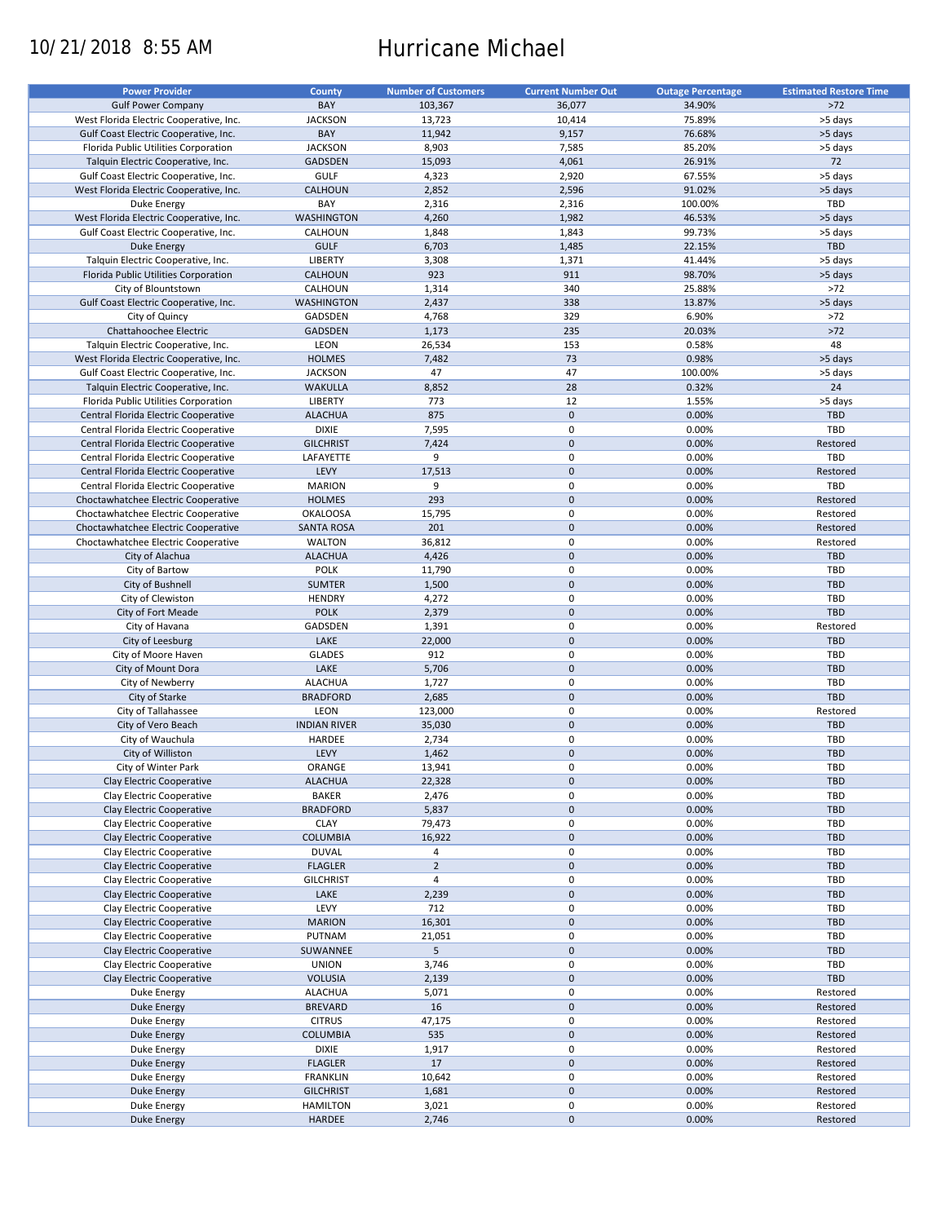# 10/21/2018 8:55 AM Hurricane Michael

| <b>Power Provider</b>                   | <b>County</b>       | <b>Number of Customers</b> | <b>Current Number Out</b> | <b>Outage Percentage</b> | <b>Estimated Restore Time</b> |
|-----------------------------------------|---------------------|----------------------------|---------------------------|--------------------------|-------------------------------|
|                                         |                     |                            |                           |                          |                               |
| <b>Gulf Power Company</b>               | BAY                 | 103,367                    | 36,077                    | 34.90%                   | $>72$                         |
| West Florida Electric Cooperative, Inc. | <b>JACKSON</b>      | 13,723                     | 10,414                    | 75.89%                   | >5 days                       |
| Gulf Coast Electric Cooperative, Inc.   | BAY                 | 11,942                     | 9,157                     | 76.68%                   | >5 days                       |
| Florida Public Utilities Corporation    | <b>JACKSON</b>      | 8,903                      | 7,585                     | 85.20%                   | >5 days                       |
| Talquin Electric Cooperative, Inc.      | <b>GADSDEN</b>      | 15,093                     | 4,061                     | 26.91%                   | 72                            |
| Gulf Coast Electric Cooperative, Inc.   | <b>GULF</b>         | 4,323                      | 2,920                     | 67.55%                   | >5 days                       |
| West Florida Electric Cooperative, Inc. | CALHOUN             | 2,852                      | 2,596                     | 91.02%                   | >5 days                       |
|                                         |                     |                            |                           |                          |                               |
| Duke Energy                             | BAY                 | 2,316                      | 2,316                     | 100.00%                  | TBD                           |
| West Florida Electric Cooperative, Inc. | <b>WASHINGTON</b>   | 4,260                      | 1,982                     | 46.53%                   | >5 days                       |
| Gulf Coast Electric Cooperative, Inc.   | CALHOUN             | 1,848                      | 1,843                     | 99.73%                   | >5 days                       |
| <b>Duke Energy</b>                      | <b>GULF</b>         | 6,703                      | 1,485                     | 22.15%                   | <b>TBD</b>                    |
| Talquin Electric Cooperative, Inc.      | <b>LIBERTY</b>      | 3,308                      | 1,371                     | 41.44%                   | >5 days                       |
| Florida Public Utilities Corporation    | CALHOUN             | 923                        | 911                       | 98.70%                   | >5 days                       |
|                                         |                     |                            |                           |                          |                               |
| City of Blountstown                     | CALHOUN             | 1,314                      | 340                       | 25.88%                   | $>72$                         |
| Gulf Coast Electric Cooperative, Inc.   | <b>WASHINGTON</b>   | 2,437                      | 338                       | 13.87%                   | >5 days                       |
| City of Quincy                          | GADSDEN             | 4,768                      | 329                       | 6.90%                    | $>72$                         |
| Chattahoochee Electric                  | GADSDEN             | 1,173                      | 235                       | 20.03%                   | $>72$                         |
| Talquin Electric Cooperative, Inc.      | LEON                | 26,534                     | 153                       | 0.58%                    | 48                            |
|                                         |                     |                            |                           |                          |                               |
| West Florida Electric Cooperative, Inc. | <b>HOLMES</b>       | 7,482                      | 73                        | 0.98%                    | >5 days                       |
| Gulf Coast Electric Cooperative, Inc.   | <b>JACKSON</b>      | 47                         | 47                        | 100.00%                  | >5 days                       |
| Talquin Electric Cooperative, Inc.      | <b>WAKULLA</b>      | 8,852                      | 28                        | 0.32%                    | 24                            |
| Florida Public Utilities Corporation    | LIBERTY             | 773                        | 12                        | 1.55%                    | >5 days                       |
| Central Florida Electric Cooperative    | <b>ALACHUA</b>      | 875                        | $\pmb{0}$                 | 0.00%                    | <b>TBD</b>                    |
| Central Florida Electric Cooperative    | <b>DIXIE</b>        | 7,595                      | $\mathbf 0$               | 0.00%                    | TBD                           |
|                                         |                     |                            |                           |                          |                               |
| Central Florida Electric Cooperative    | <b>GILCHRIST</b>    | 7,424                      | $\mathbf 0$               | 0.00%                    | Restored                      |
| Central Florida Electric Cooperative    | LAFAYETTE           | 9                          | $\mathbf 0$               | 0.00%                    | TBD                           |
| Central Florida Electric Cooperative    | LEVY                | 17,513                     | $\pmb{0}$                 | 0.00%                    | Restored                      |
| Central Florida Electric Cooperative    | <b>MARION</b>       | 9                          | 0                         | 0.00%                    | TBD                           |
| Choctawhatchee Electric Cooperative     | <b>HOLMES</b>       | 293                        | $\pmb{0}$                 | 0.00%                    | Restored                      |
|                                         |                     |                            |                           |                          |                               |
| Choctawhatchee Electric Cooperative     | <b>OKALOOSA</b>     | 15,795                     | 0                         | 0.00%                    | Restored                      |
| Choctawhatchee Electric Cooperative     | <b>SANTA ROSA</b>   | 201                        | $\mathbf 0$               | 0.00%                    | Restored                      |
| Choctawhatchee Electric Cooperative     | <b>WALTON</b>       | 36,812                     | 0                         | 0.00%                    | Restored                      |
| City of Alachua                         | <b>ALACHUA</b>      | 4,426                      | $\mathbf 0$               | 0.00%                    | <b>TBD</b>                    |
| City of Bartow                          | <b>POLK</b>         | 11,790                     | 0                         | 0.00%                    | TBD                           |
|                                         |                     |                            | $\mathbf 0$               |                          |                               |
| City of Bushnell                        | <b>SUMTER</b>       | 1,500                      |                           | 0.00%                    | <b>TBD</b>                    |
| City of Clewiston                       | <b>HENDRY</b>       | 4,272                      | 0                         | 0.00%                    | TBD                           |
| City of Fort Meade                      | <b>POLK</b>         | 2,379                      | $\mathbf 0$               | 0.00%                    | TBD                           |
| City of Havana                          | GADSDEN             | 1,391                      | $\pmb{0}$                 | 0.00%                    | Restored                      |
| City of Leesburg                        | LAKE                | 22,000                     | $\mathbf 0$               | 0.00%                    | <b>TBD</b>                    |
| City of Moore Haven                     | <b>GLADES</b>       | 912                        | $\pmb{0}$                 | 0.00%                    | TBD                           |
|                                         |                     |                            | $\mathbf 0$               |                          | TBD                           |
| City of Mount Dora                      | LAKE                | 5,706                      |                           | 0.00%                    |                               |
| City of Newberry                        | <b>ALACHUA</b>      | 1,727                      | 0                         | 0.00%                    | TBD                           |
| City of Starke                          | <b>BRADFORD</b>     | 2,685                      | $\pmb{0}$                 | 0.00%                    | TBD                           |
| City of Tallahassee                     | LEON                | 123,000                    | 0                         | 0.00%                    | Restored                      |
| City of Vero Beach                      | <b>INDIAN RIVER</b> | 35,030                     | $\pmb{0}$                 | 0.00%                    | <b>TBD</b>                    |
| City of Wauchula                        | HARDEE              | 2,734                      | 0                         | 0.00%                    | <b>TBD</b>                    |
|                                         |                     |                            |                           |                          |                               |
| City of Williston                       | LEVY                | 1,462                      | $\pmb{0}$                 | 0.00%                    | <b>TBD</b>                    |
| City of Winter Park                     | ORANGE              | 13,941                     | 0                         | 0.00%                    | TBD                           |
| Clay Electric Cooperative               | <b>ALACHUA</b>      | 22,328                     | $\pmb{0}$                 | 0.00%                    | TBD                           |
| Clay Electric Cooperative               | <b>BAKER</b>        | 2,476                      | 0                         | 0.00%                    | TBD                           |
| Clay Electric Cooperative               | <b>BRADFORD</b>     | 5,837                      | $\pmb{0}$                 | 0.00%                    | <b>TBD</b>                    |
| Clay Electric Cooperative               | <b>CLAY</b>         | 79,473                     | 0                         | 0.00%                    | TBD                           |
|                                         |                     |                            |                           |                          |                               |
| Clay Electric Cooperative               | <b>COLUMBIA</b>     | 16,922                     | $\pmb{0}$                 | 0.00%                    | TBD                           |
| Clay Electric Cooperative               | <b>DUVAL</b>        | 4                          | 0                         | 0.00%                    | TBD                           |
| Clay Electric Cooperative               | <b>FLAGLER</b>      | $\overline{2}$             | $\pmb{0}$                 | 0.00%                    | TBD                           |
| Clay Electric Cooperative               | <b>GILCHRIST</b>    | 4                          | 0                         | 0.00%                    | TBD                           |
| Clay Electric Cooperative               | LAKE                | 2,239                      | 0                         | 0.00%                    | <b>TBD</b>                    |
| Clay Electric Cooperative               | LEVY                | 712                        | 0                         | 0.00%                    | TBD                           |
|                                         |                     |                            |                           |                          |                               |
| Clay Electric Cooperative               | <b>MARION</b>       | 16,301                     | $\pmb{0}$                 | 0.00%                    | <b>TBD</b>                    |
| Clay Electric Cooperative               | PUTNAM              | 21,051                     | 0                         | 0.00%                    | TBD                           |
| Clay Electric Cooperative               | SUWANNEE            | 5                          | $\pmb{0}$                 | 0.00%                    | TBD                           |
| Clay Electric Cooperative               | <b>UNION</b>        | 3,746                      | 0                         | 0.00%                    | TBD                           |
| Clay Electric Cooperative               | <b>VOLUSIA</b>      | 2,139                      | $\pmb{0}$                 | 0.00%                    | TBD                           |
|                                         |                     |                            |                           |                          |                               |
| Duke Energy                             | <b>ALACHUA</b>      | 5,071                      | 0                         | 0.00%                    | Restored                      |
| Duke Energy                             | <b>BREVARD</b>      | 16                         | $\pmb{0}$                 | 0.00%                    | Restored                      |
| Duke Energy                             | <b>CITRUS</b>       | 47,175                     | 0                         | 0.00%                    | Restored                      |
| <b>Duke Energy</b>                      | <b>COLUMBIA</b>     | 535                        | $\pmb{0}$                 | 0.00%                    | Restored                      |
| Duke Energy                             | <b>DIXIE</b>        | 1,917                      | 0                         | 0.00%                    | Restored                      |
| <b>Duke Energy</b>                      | <b>FLAGLER</b>      | 17                         | $\pmb{0}$                 | 0.00%                    | Restored                      |
|                                         |                     |                            |                           |                          |                               |
| Duke Energy                             | <b>FRANKLIN</b>     | 10,642                     | 0                         | 0.00%                    | Restored                      |
| <b>Duke Energy</b>                      | <b>GILCHRIST</b>    | 1,681                      | $\pmb{0}$                 | 0.00%                    | Restored                      |
| Duke Energy                             | <b>HAMILTON</b>     | 3,021                      | 0                         | 0.00%                    | Restored                      |
| <b>Duke Energy</b>                      | HARDEE              | 2,746                      | $\pmb{0}$                 | 0.00%                    | Restored                      |
|                                         |                     |                            |                           |                          |                               |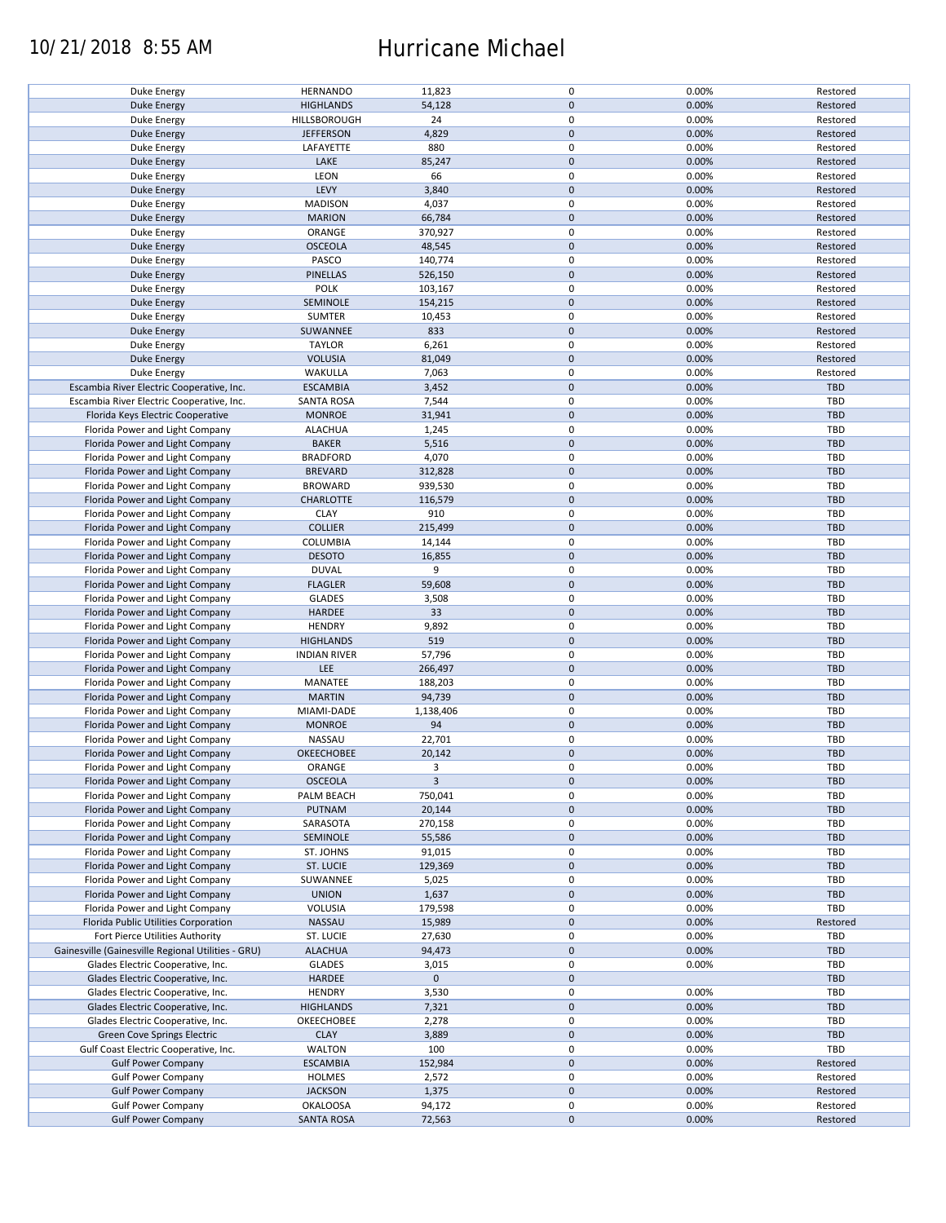## 10/21/2018 8:55 AM Hurricane Michael

| Duke Energy                                        | <b>HERNANDO</b>     | 11,823              | 0           | 0.00% | Restored   |
|----------------------------------------------------|---------------------|---------------------|-------------|-------|------------|
| <b>Duke Energy</b>                                 | <b>HIGHLANDS</b>    | 54,128              | $\pmb{0}$   | 0.00% | Restored   |
|                                                    |                     |                     |             |       |            |
| Duke Energy                                        | HILLSBOROUGH        | 24                  | 0           | 0.00% | Restored   |
| <b>Duke Energy</b>                                 | <b>JEFFERSON</b>    | 4,829               | $\mathbf 0$ | 0.00% | Restored   |
|                                                    |                     |                     | 0           |       |            |
| Duke Energy                                        | LAFAYETTE           | 880                 |             | 0.00% | Restored   |
| Duke Energy                                        | LAKE                | 85,247              | $\pmb{0}$   | 0.00% | Restored   |
| Duke Energy                                        | LEON                | 66                  | 0           | 0.00% | Restored   |
|                                                    |                     |                     |             |       |            |
| Duke Energy                                        | LEVY                | 3,840               | $\pmb{0}$   | 0.00% | Restored   |
| Duke Energy                                        | <b>MADISON</b>      | 4,037               | 0           | 0.00% | Restored   |
| <b>Duke Energy</b>                                 | <b>MARION</b>       | 66,784              | $\mathbf 0$ | 0.00% | Restored   |
|                                                    |                     |                     |             |       |            |
| Duke Energy                                        | ORANGE              | 370,927             | 0           | 0.00% | Restored   |
| Duke Energy                                        | <b>OSCEOLA</b>      | 48,545              | $\mathbf 0$ | 0.00% | Restored   |
|                                                    |                     |                     |             |       |            |
| Duke Energy                                        | PASCO               | 140,774             | 0           | 0.00% | Restored   |
| Duke Energy                                        | PINELLAS            | 526,150             | $\mathbf 0$ | 0.00% | Restored   |
| Duke Energy                                        | <b>POLK</b>         | 103,167             | 0           | 0.00% | Restored   |
|                                                    |                     |                     |             |       |            |
| Duke Energy                                        | SEMINOLE            | 154,215             | $\mathbf 0$ | 0.00% | Restored   |
| Duke Energy                                        | <b>SUMTER</b>       | 10,453              | 0           | 0.00% | Restored   |
|                                                    |                     |                     | $\pmb{0}$   |       |            |
| <b>Duke Energy</b>                                 | SUWANNEE            | 833                 |             | 0.00% | Restored   |
| Duke Energy                                        | <b>TAYLOR</b>       | 6,261               | 0           | 0.00% | Restored   |
| <b>Duke Energy</b>                                 | <b>VOLUSIA</b>      | 81,049              | $\mathbf 0$ | 0.00% | Restored   |
|                                                    |                     |                     |             |       |            |
| Duke Energy                                        | WAKULLA             | 7,063               | 0           | 0.00% | Restored   |
| Escambia River Electric Cooperative, Inc.          | <b>ESCAMBIA</b>     | 3,452               | $\pmb{0}$   | 0.00% | TBD        |
| Escambia River Electric Cooperative, Inc.          |                     |                     | 0           |       |            |
|                                                    | <b>SANTA ROSA</b>   | 7,544               |             | 0.00% | TBD        |
| Florida Keys Electric Cooperative                  | <b>MONROE</b>       | 31,941              | $\mathbf 0$ | 0.00% | <b>TBD</b> |
| Florida Power and Light Company                    | <b>ALACHUA</b>      | 1,245               | 0           | 0.00% | <b>TBD</b> |
|                                                    |                     |                     |             |       |            |
| Florida Power and Light Company                    | <b>BAKER</b>        | 5,516               | $\mathbf 0$ | 0.00% | <b>TBD</b> |
| Florida Power and Light Company                    | <b>BRADFORD</b>     | 4,070               | 0           | 0.00% | TBD        |
|                                                    |                     |                     |             |       |            |
| Florida Power and Light Company                    | <b>BREVARD</b>      | 312,828             | $\pmb{0}$   | 0.00% | <b>TBD</b> |
| Florida Power and Light Company                    | <b>BROWARD</b>      | 939,530             | 0           | 0.00% | TBD        |
| Florida Power and Light Company                    | <b>CHARLOTTE</b>    | 116,579             | $\pmb{0}$   | 0.00% | <b>TBD</b> |
|                                                    |                     |                     |             |       |            |
| Florida Power and Light Company                    | <b>CLAY</b>         | 910                 | 0           | 0.00% | TBD        |
| Florida Power and Light Company                    | <b>COLLIER</b>      | 215,499             | $\pmb{0}$   | 0.00% | <b>TBD</b> |
|                                                    |                     |                     |             |       |            |
| Florida Power and Light Company                    | COLUMBIA            | 14,144              | 0           | 0.00% | <b>TBD</b> |
| Florida Power and Light Company                    | <b>DESOTO</b>       | 16,855              | $\pmb{0}$   | 0.00% | <b>TBD</b> |
| Florida Power and Light Company                    | <b>DUVAL</b>        | 9                   | 0           | 0.00% | TBD        |
|                                                    |                     |                     |             |       |            |
| Florida Power and Light Company                    | <b>FLAGLER</b>      | 59,608              | $\mathbf 0$ | 0.00% | <b>TBD</b> |
| Florida Power and Light Company                    | <b>GLADES</b>       | 3,508               | 0           | 0.00% | <b>TBD</b> |
| Florida Power and Light Company                    | HARDEE              | 33                  | $\mathbf 0$ | 0.00% | <b>TBD</b> |
|                                                    |                     |                     |             |       |            |
| Florida Power and Light Company                    | <b>HENDRY</b>       | 9,892               | 0           | 0.00% | TBD        |
| Florida Power and Light Company                    | <b>HIGHLANDS</b>    | 519                 | $\pmb{0}$   | 0.00% | <b>TBD</b> |
|                                                    |                     |                     |             |       |            |
| Florida Power and Light Company                    | <b>INDIAN RIVER</b> | 57,796              | 0           | 0.00% | TBD        |
| Florida Power and Light Company                    | LEE                 | 266,497             | $\mathbf 0$ | 0.00% | <b>TBD</b> |
| Florida Power and Light Company                    | MANATEE             | 188,203             | 0           | 0.00% | TBD        |
|                                                    |                     |                     |             |       |            |
| Florida Power and Light Company                    | <b>MARTIN</b>       | 94,739              | $\mathbf 0$ | 0.00% | <b>TBD</b> |
| Florida Power and Light Company                    | MIAMI-DADE          | 1,138,406           | 0           | 0.00% | TBD        |
|                                                    |                     |                     | $\mathbf 0$ |       |            |
| Florida Power and Light Company                    | <b>MONROE</b>       | 94                  |             | 0.00% | <b>TBD</b> |
| Florida Power and Light Company                    | NASSAU              | 22,701              | 0           | 0.00% | TBD        |
| Florida Power and Light Company                    | <b>OKEECHOBEE</b>   | 20,142              | $\mathbf 0$ | 0.00% | <b>TBD</b> |
|                                                    |                     |                     |             |       |            |
| Florida Power and Light Company                    | ORANGE              | 3                   | 0           | 0.00% | TBD        |
| Florida Power and Light Company                    | <b>OSCEOLA</b>      | 3                   | 0           | 0.00% | <b>TBD</b> |
|                                                    |                     |                     |             |       |            |
| Florida Power and Light Company                    | PALM BEACH          | 750,041             | 0           | 0.00% | TBD        |
| Florida Power and Light Company                    | PUTNAM              | 20,144              | 0           | 0.00% | <b>TBD</b> |
| Florida Power and Light Company                    | SARASOTA            | 270,158             | 0           | 0.00% | TBD        |
|                                                    |                     |                     |             |       |            |
| Florida Power and Light Company                    | SEMINOLE            | 55,586              | $\pmb{0}$   | 0.00% | <b>TBD</b> |
| Florida Power and Light Company                    | ST. JOHNS           | 91,015              | 0           | 0.00% | TBD        |
| Florida Power and Light Company                    | ST. LUCIE           | 129,369             | 0           | 0.00% | <b>TBD</b> |
|                                                    |                     |                     |             |       |            |
| Florida Power and Light Company                    | SUWANNEE            | 5,025               | 0           | 0.00% | TBD        |
| Florida Power and Light Company                    | <b>UNION</b>        | 1,637               | $\pmb{0}$   | 0.00% | <b>TBD</b> |
|                                                    |                     |                     | 0           |       | TBD        |
| Florida Power and Light Company                    | VOLUSIA             | 179,598             |             | 0.00% |            |
| Florida Public Utilities Corporation               | NASSAU              | 15,989              | $\mathbf 0$ | 0.00% | Restored   |
| Fort Pierce Utilities Authority                    | ST. LUCIE           | 27,630              | 0           | 0.00% | TBD        |
|                                                    |                     |                     |             |       |            |
| Gainesville (Gainesville Regional Utilities - GRU) | <b>ALACHUA</b>      | 94,473              | 0           | 0.00% | TBD        |
| Glades Electric Cooperative, Inc.                  | <b>GLADES</b>       | 3,015               | 0           | 0.00% | TBD        |
| Glades Electric Cooperative, Inc.                  | <b>HARDEE</b>       | $\mathsf{O}\xspace$ | $\pmb{0}$   |       | <b>TBD</b> |
|                                                    |                     |                     |             |       |            |
| Glades Electric Cooperative, Inc.                  | <b>HENDRY</b>       | 3,530               | 0           | 0.00% | TBD        |
| Glades Electric Cooperative, Inc.                  | <b>HIGHLANDS</b>    | 7,321               | $\pmb{0}$   | 0.00% | <b>TBD</b> |
|                                                    |                     |                     |             |       |            |
| Glades Electric Cooperative, Inc.                  | OKEECHOBEE          | 2,278               | 0           | 0.00% | TBD        |
| Green Cove Springs Electric                        | <b>CLAY</b>         | 3,889               | $\pmb{0}$   | 0.00% | <b>TBD</b> |
| Gulf Coast Electric Cooperative, Inc.              | WALTON              | 100                 | 0           | 0.00% | <b>TBD</b> |
|                                                    |                     |                     |             |       |            |
| <b>Gulf Power Company</b>                          |                     |                     | $\pmb{0}$   | 0.00% | Restored   |
|                                                    | <b>ESCAMBIA</b>     | 152,984             |             |       |            |
|                                                    | HOLMES              |                     | 0           | 0.00% | Restored   |
| <b>Gulf Power Company</b>                          |                     | 2,572               |             |       |            |
| <b>Gulf Power Company</b>                          | <b>JACKSON</b>      | 1,375               | $\mathbf 0$ | 0.00% | Restored   |
| <b>Gulf Power Company</b>                          | <b>OKALOOSA</b>     | 94,172              | 0           | 0.00% | Restored   |
| <b>Gulf Power Company</b>                          | <b>SANTA ROSA</b>   | 72,563              | $\pmb{0}$   | 0.00% | Restored   |